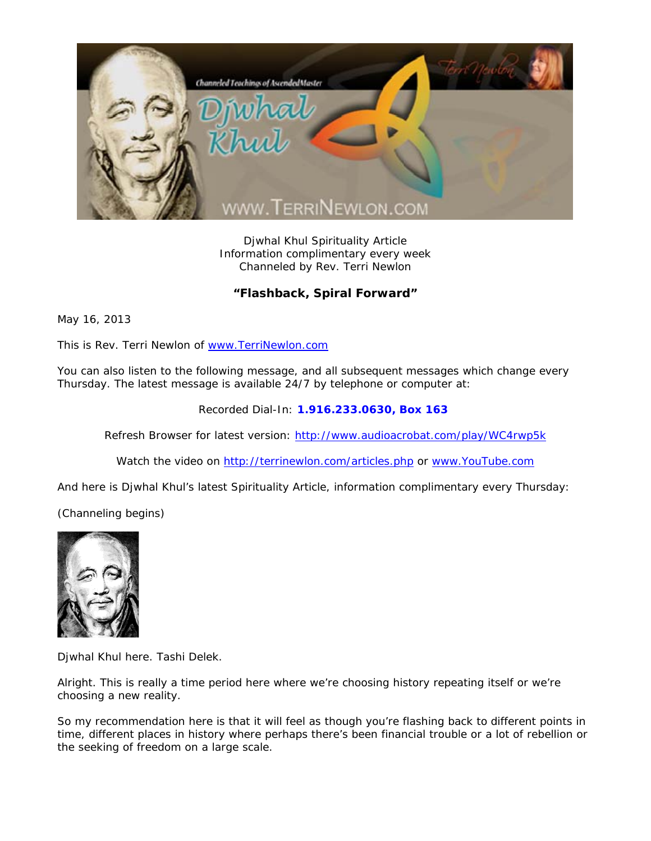

Djwhal Khul Spirituality Article Information complimentary every week Channeled by Rev. Terri Newlon

## **"Flashback, Spiral Forward"**

May 16, 2013

This is Rev. Terri Newlon of www.TerriNewlon.com

You can also listen to the following message, and all subsequent messages which change every Thursday. The latest message is available 24/7 by telephone or computer at:

Recorded Dial-In: **1.916.233.0630, Box 163** 

Refresh Browser for latest version: http://www.audioacrobat.com/play/WC4rwp5k

Watch the video on http://terrinewlon.com/articles.php or www.YouTube.com

And here is Djwhal Khul's latest Spirituality Article, information complimentary every Thursday:

(Channeling begins)



Djwhal Khul here. Tashi Delek.

Alright. This is really a time period here where we're choosing history repeating itself or we're choosing a new reality.

So my recommendation here is that it will feel as though you're flashing back to different points in time, different places in history where perhaps there's been financial trouble or a lot of rebellion or the seeking of freedom on a large scale.